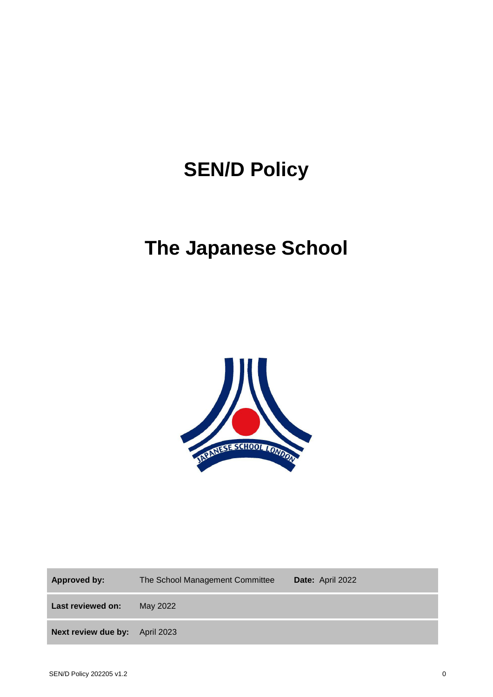# **SEN/D Policy**

## **The Japanese School**



**Approved by:** The School Management Committee **Date:** April 2022 **Last reviewed on:** May 2022 **Next review due by:** April 2023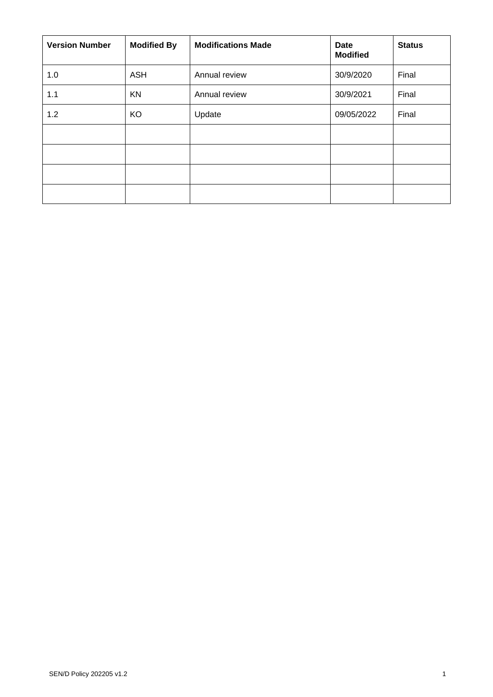| <b>Version Number</b> | <b>Modified By</b> | <b>Modifications Made</b> | Date<br><b>Modified</b> | <b>Status</b> |
|-----------------------|--------------------|---------------------------|-------------------------|---------------|
| 1.0                   | <b>ASH</b>         | Annual review             | 30/9/2020               | Final         |
| 1.1                   | KN                 | Annual review             | 30/9/2021               | Final         |
| 1.2                   | KO                 | Update                    | 09/05/2022              | Final         |
|                       |                    |                           |                         |               |
|                       |                    |                           |                         |               |
|                       |                    |                           |                         |               |
|                       |                    |                           |                         |               |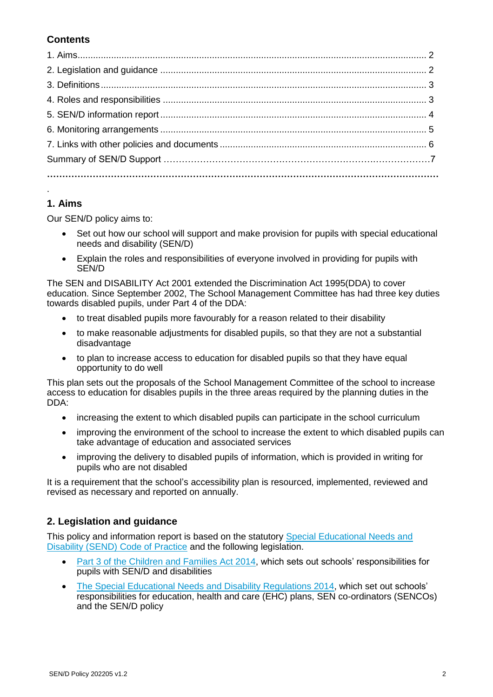## **Contents**

## **1. Aims**

.

Our SEN/D policy aims to:

- Set out how our school will support and make provision for pupils with special educational needs and disability (SEN/D)
- Explain the roles and responsibilities of everyone involved in providing for pupils with SEN/D

The SEN and DISABILITY Act 2001 extended the Discrimination Act 1995(DDA) to cover education. Since September 2002, The School Management Committee has had three key duties towards disabled pupils, under Part 4 of the DDA:

- to treat disabled pupils more favourably for a reason related to their disability
- to make reasonable adjustments for disabled pupils, so that they are not a substantial disadvantage
- to plan to increase access to education for disabled pupils so that they have equal opportunity to do well

This plan sets out the proposals of the School Management Committee of the school to increase access to education for disables pupils in the three areas required by the planning duties in the DDA:

- increasing the extent to which disabled pupils can participate in the school curriculum
- improving the environment of the school to increase the extent to which disabled pupils can take advantage of education and associated services
- improving the delivery to disabled pupils of information, which is provided in writing for pupils who are not disabled

It is a requirement that the school's accessibility plan is resourced, implemented, reviewed and revised as necessary and reported on annually.

## **2. Legislation and guidance**

This policy and information report is based on the statutory [Special Educational Needs and](https://www.gov.uk/government/uploads/system/uploads/attachment_data/file/398815/SEND_Code_of_Practice_January_2015.pdf)  [Disability \(SEND\) Code of Practice](https://www.gov.uk/government/uploads/system/uploads/attachment_data/file/398815/SEND_Code_of_Practice_January_2015.pdf) and the following legislation.

- [Part 3 of the Children and Families Act 2014,](http://www.legislation.gov.uk/ukpga/2014/6/part/3) which sets out schools' responsibilities for pupils with SEN/D and disabilities
- [The Special Educational Needs and Disability Regulations 2014,](http://www.legislation.gov.uk/uksi/2014/1530/contents/made) which set out schools' responsibilities for education, health and care (EHC) plans, SEN co-ordinators (SENCOs) and the SEN/D policy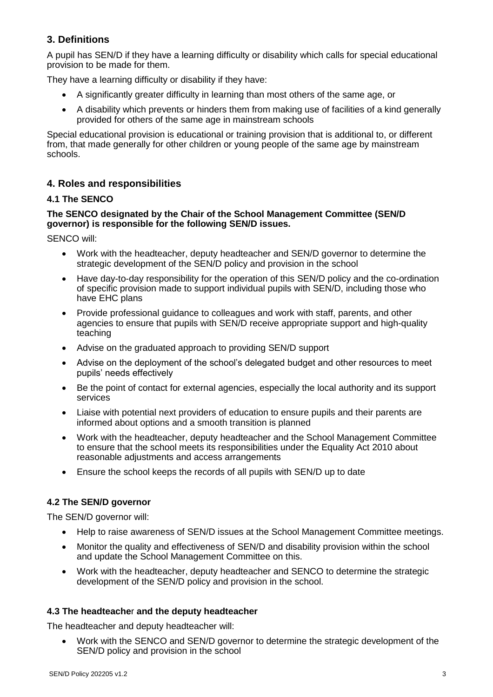## **3. Definitions**

A pupil has SEN/D if they have a learning difficulty or disability which calls for special educational provision to be made for them.

They have a learning difficulty or disability if they have:

- A significantly greater difficulty in learning than most others of the same age, or
- A disability which prevents or hinders them from making use of facilities of a kind generally provided for others of the same age in mainstream schools

Special educational provision is educational or training provision that is additional to, or different from, that made generally for other children or young people of the same age by mainstream schools.

## **4. Roles and responsibilities**

#### **4.1 The SENCO**

#### **The SENCO designated by the Chair of the School Management Committee (SEN/D governor) is responsible for the following SEN/D issues.**

SENCO will:

- Work with the headteacher, deputy headteacher and SEN/D governor to determine the strategic development of the SEN/D policy and provision in the school
- Have day-to-day responsibility for the operation of this SEN/D policy and the co-ordination of specific provision made to support individual pupils with SEN/D, including those who have EHC plans
- Provide professional guidance to colleagues and work with staff, parents, and other agencies to ensure that pupils with SEN/D receive appropriate support and high-quality teaching
- Advise on the graduated approach to providing SEN/D support
- Advise on the deployment of the school's delegated budget and other resources to meet pupils' needs effectively
- Be the point of contact for external agencies, especially the local authority and its support services
- Liaise with potential next providers of education to ensure pupils and their parents are informed about options and a smooth transition is planned
- Work with the headteacher, deputy headteacher and the School Management Committee to ensure that the school meets its responsibilities under the Equality Act 2010 about reasonable adjustments and access arrangements
- Ensure the school keeps the records of all pupils with SEN/D up to date

#### **4.2 The SEN/D governor**

The SEN/D governor will:

- Help to raise awareness of SEN/D issues at the School Management Committee meetings.
- Monitor the quality and effectiveness of SEN/D and disability provision within the school and update the School Management Committee on this.
- Work with the headteacher, deputy headteacher and SENCO to determine the strategic development of the SEN/D policy and provision in the school.

#### **4.3 The headteache**r **and the deputy headteacher**

The headteacher and deputy headteacher will:

 Work with the SENCO and SEN/D governor to determine the strategic development of the SEN/D policy and provision in the school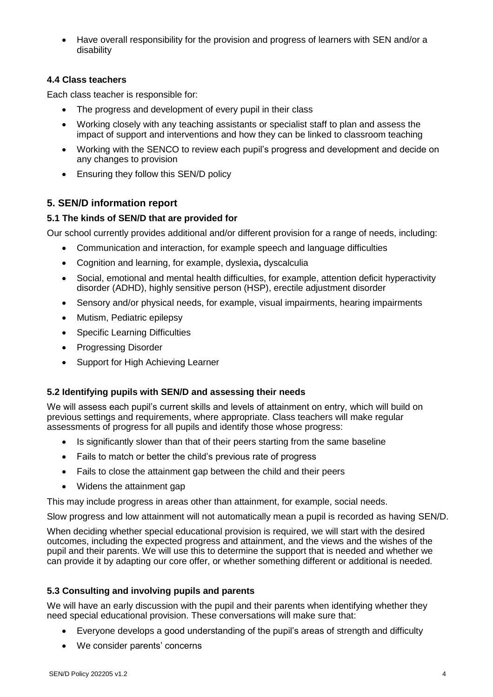Have overall responsibility for the provision and progress of learners with SEN and/or a disability

#### **4.4 Class teachers**

Each class teacher is responsible for:

- The progress and development of every pupil in their class
- Working closely with any teaching assistants or specialist staff to plan and assess the impact of support and interventions and how they can be linked to classroom teaching
- Working with the SENCO to review each pupil's progress and development and decide on any changes to provision
- Ensuring they follow this SEN/D policy

## **5. SEN/D information report**

#### **5.1 The kinds of SEN/D that are provided for**

Our school currently provides additional and/or different provision for a range of needs, including:

- Communication and interaction, for example speech and language difficulties
- Cognition and learning, for example, dyslexia**,** dyscalculia
- Social, emotional and mental health difficulties, for example, attention deficit hyperactivity disorder (ADHD), highly sensitive person (HSP), erectile adjustment disorder
- Sensory and/or physical needs, for example, visual impairments, hearing impairments
- Mutism, Pediatric epilepsy
- Specific Learning Difficulties
- Progressing Disorder
- Support for High Achieving Learner

#### **5.2 Identifying pupils with SEN/D and assessing their needs**

We will assess each pupil's current skills and levels of attainment on entry, which will build on previous settings and requirements, where appropriate. Class teachers will make regular assessments of progress for all pupils and identify those whose progress:

- Is significantly slower than that of their peers starting from the same baseline
- Fails to match or better the child's previous rate of progress
- Fails to close the attainment gap between the child and their peers
- Widens the attainment gap

This may include progress in areas other than attainment, for example, social needs.

Slow progress and low attainment will not automatically mean a pupil is recorded as having SEN/D.

When deciding whether special educational provision is required, we will start with the desired outcomes, including the expected progress and attainment, and the views and the wishes of the pupil and their parents. We will use this to determine the support that is needed and whether we can provide it by adapting our core offer, or whether something different or additional is needed.

#### **5.3 Consulting and involving pupils and parents**

We will have an early discussion with the pupil and their parents when identifying whether they need special educational provision. These conversations will make sure that:

- Everyone develops a good understanding of the pupil's areas of strength and difficulty
- We consider parents' concerns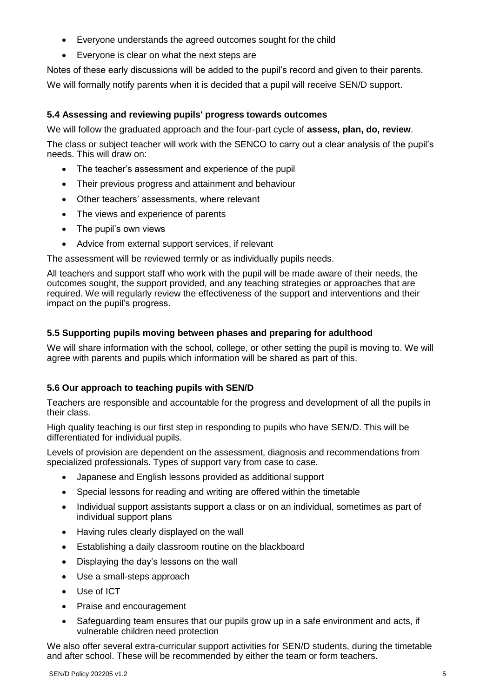- Everyone understands the agreed outcomes sought for the child
- Everyone is clear on what the next steps are

Notes of these early discussions will be added to the pupil's record and given to their parents.

We will formally notify parents when it is decided that a pupil will receive SEN/D support.

#### **5.4 Assessing and reviewing pupils' progress towards outcomes**

We will follow the graduated approach and the four-part cycle of **assess, plan, do, review**.

The class or subject teacher will work with the SENCO to carry out a clear analysis of the pupil's needs. This will draw on:

- The teacher's assessment and experience of the pupil
- Their previous progress and attainment and behaviour
- Other teachers' assessments, where relevant
- The views and experience of parents
- The pupil's own views
- Advice from external support services, if relevant

The assessment will be reviewed termly or as individually pupils needs.

All teachers and support staff who work with the pupil will be made aware of their needs, the outcomes sought, the support provided, and any teaching strategies or approaches that are required. We will regularly review the effectiveness of the support and interventions and their impact on the pupil's progress.

#### **5.5 Supporting pupils moving between phases and preparing for adulthood**

We will share information with the school, college, or other setting the pupil is moving to. We will agree with parents and pupils which information will be shared as part of this.

#### **5.6 Our approach to teaching pupils with SEN/D**

Teachers are responsible and accountable for the progress and development of all the pupils in their class.

High quality teaching is our first step in responding to pupils who have SEN/D. This will be differentiated for individual pupils.

Levels of provision are dependent on the assessment, diagnosis and recommendations from specialized professionals. Types of support vary from case to case.

- Japanese and English lessons provided as additional support
- Special lessons for reading and writing are offered within the timetable
- Individual support assistants support a class or on an individual, sometimes as part of individual support plans
- Having rules clearly displayed on the wall
- Establishing a daily classroom routine on the blackboard
- Displaying the day's lessons on the wall
- Use a small-steps approach
- Use of ICT
- Praise and encouragement
- Safeguarding team ensures that our pupils grow up in a safe environment and acts, if vulnerable children need protection

We also offer several extra-curricular support activities for SEN/D students, during the timetable and after school. These will be recommended by either the team or form teachers.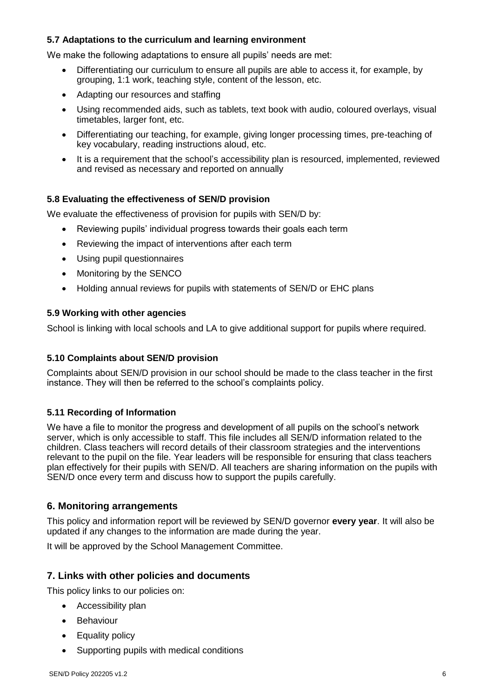#### **5.7 Adaptations to the curriculum and learning environment**

We make the following adaptations to ensure all pupils' needs are met:

- Differentiating our curriculum to ensure all pupils are able to access it, for example, by grouping, 1:1 work, teaching style, content of the lesson, etc.
- Adapting our resources and staffing
- Using recommended aids, such as tablets, text book with audio, coloured overlays, visual timetables, larger font, etc.
- Differentiating our teaching, for example, giving longer processing times, pre-teaching of key vocabulary, reading instructions aloud, etc.
- It is a requirement that the school's accessibility plan is resourced, implemented, reviewed and revised as necessary and reported on annually

#### **5.8 Evaluating the effectiveness of SEN/D provision**

We evaluate the effectiveness of provision for pupils with SEN/D by:

- Reviewing pupils' individual progress towards their goals each term
- Reviewing the impact of interventions after each term
- Using pupil questionnaires
- Monitoring by the SENCO
- Holding annual reviews for pupils with statements of SEN/D or EHC plans

#### **5.9 Working with other agencies**

School is linking with local schools and LA to give additional support for pupils where required.

#### **5.10 Complaints about SEN/D provision**

Complaints about SEN/D provision in our school should be made to the class teacher in the first instance. They will then be referred to the school's complaints policy.

#### **5.11 Recording of Information**

We have a file to monitor the progress and development of all pupils on the school's network server, which is only accessible to staff. This file includes all SEN/D information related to the children. Class teachers will record details of their classroom strategies and the interventions relevant to the pupil on the file. Year leaders will be responsible for ensuring that class teachers plan effectively for their pupils with SEN/D. All teachers are sharing information on the pupils with SEN/D once every term and discuss how to support the pupils carefully.

#### **6. Monitoring arrangements**

This policy and information report will be reviewed by SEN/D governor **every year**. It will also be updated if any changes to the information are made during the year.

It will be approved by the School Management Committee.

#### **7. Links with other policies and documents**

This policy links to our policies on:

- Accessibility plan
- Behaviour
- Equality policy
- Supporting pupils with medical conditions